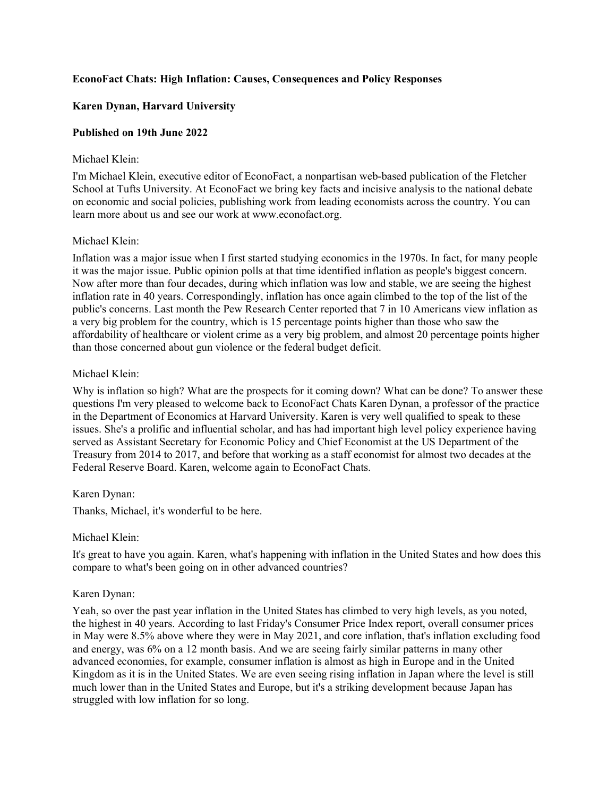# **EconoFact Chats: High Inflation: Causes, Consequences and Policy Responses**

# **Karen Dynan, Harvard University**

# **Published on 19th June 2022**

#### Michael Klein:

I'm Michael Klein, executive editor of EconoFact, a nonpartisan web-based publication of the Fletcher School at Tufts University. At EconoFact we bring key facts and incisive analysis to the national debate on economic and social policies, publishing work from leading economists across the country. You can learn more about us and see our work at www.econofact.org.

# Michael Klein:

Inflation was a major issue when I first started studying economics in the 1970s. In fact, for many people it was the major issue. Public opinion polls at that time identified inflation as people's biggest concern. Now after more than four decades, during which inflation was low and stable, we are seeing the highest inflation rate in 40 years. Correspondingly, inflation has once again climbed to the top of the list of the public's concerns. Last month the Pew Research Center reported that 7 in 10 Americans view inflation as a very big problem for the country, which is 15 percentage points higher than those who saw the affordability of healthcare or violent crime as a very big problem, and almost 20 percentage points higher than those concerned about gun violence or the federal budget deficit.

# Michael Klein:

Why is inflation so high? What are the prospects for it coming down? What can be done? To answer these questions I'm very pleased to welcome back to EconoFact Chats Karen Dynan, a professor of the practice in the Department of Economics at Harvard University. Karen is very well qualified to speak to these issues. She's a prolific and influential scholar, and has had important high level policy experience having served as Assistant Secretary for Economic Policy and Chief Economist at the US Department of the Treasury from 2014 to 2017, and before that working as a staff economist for almost two decades at the Federal Reserve Board. Karen, welcome again to EconoFact Chats.

# Karen Dynan:

Thanks, Michael, it's wonderful to be here.

#### Michael Klein:

It's great to have you again. Karen, what's happening with inflation in the United States and how does this compare to what's been going on in other advanced countries?

# Karen Dynan:

Yeah, so over the past year inflation in the United States has climbed to very high levels, as you noted, the highest in 40 years. According to last Friday's Consumer Price Index report, overall consumer prices in May were 8.5% above where they were in May 2021, and core inflation, that's inflation excluding food and energy, was 6% on a 12 month basis. And we are seeing fairly similar patterns in many other advanced economies, for example, consumer inflation is almost as high in Europe and in the United Kingdom as it is in the United States. We are even seeing rising inflation in Japan where the level is still much lower than in the United States and Europe, but it's a striking development because Japan has struggled with low inflation for so long.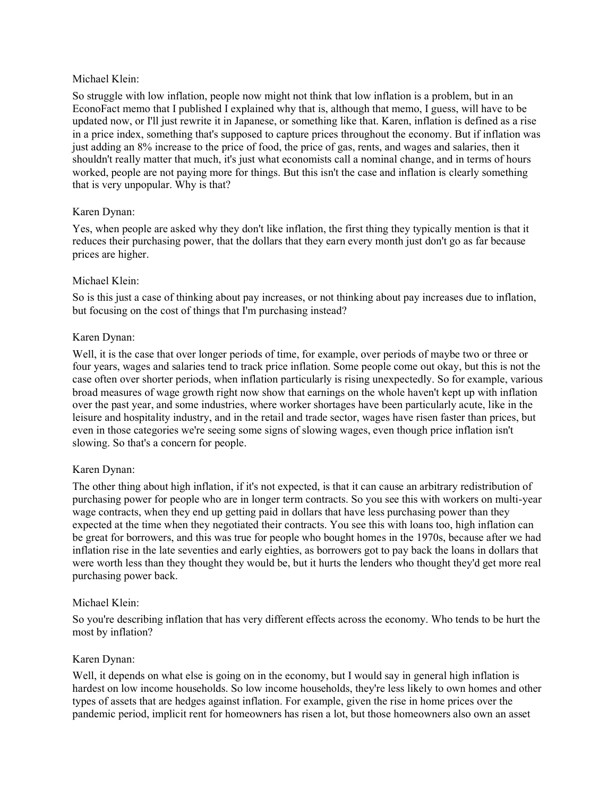#### Michael Klein:

So struggle with low inflation, people now might not think that low inflation is a problem, but in an EconoFact memo that I published I explained why that is, although that memo, I guess, will have to be updated now, or I'll just rewrite it in Japanese, or something like that. Karen, inflation is defined as a rise in a price index, something that's supposed to capture prices throughout the economy. But if inflation was just adding an 8% increase to the price of food, the price of gas, rents, and wages and salaries, then it shouldn't really matter that much, it's just what economists call a nominal change, and in terms of hours worked, people are not paying more for things. But this isn't the case and inflation is clearly something that is very unpopular. Why is that?

# Karen Dynan:

Yes, when people are asked why they don't like inflation, the first thing they typically mention is that it reduces their purchasing power, that the dollars that they earn every month just don't go as far because prices are higher.

#### Michael Klein:

So is this just a case of thinking about pay increases, or not thinking about pay increases due to inflation, but focusing on the cost of things that I'm purchasing instead?

#### Karen Dynan:

Well, it is the case that over longer periods of time, for example, over periods of maybe two or three or four years, wages and salaries tend to track price inflation. Some people come out okay, but this is not the case often over shorter periods, when inflation particularly is rising unexpectedly. So for example, various broad measures of wage growth right now show that earnings on the whole haven't kept up with inflation over the past year, and some industries, where worker shortages have been particularly acute, like in the leisure and hospitality industry, and in the retail and trade sector, wages have risen faster than prices, but even in those categories we're seeing some signs of slowing wages, even though price inflation isn't slowing. So that's a concern for people.

# Karen Dynan:

The other thing about high inflation, if it's not expected, is that it can cause an arbitrary redistribution of purchasing power for people who are in longer term contracts. So you see this with workers on multi-year wage contracts, when they end up getting paid in dollars that have less purchasing power than they expected at the time when they negotiated their contracts. You see this with loans too, high inflation can be great for borrowers, and this was true for people who bought homes in the 1970s, because after we had inflation rise in the late seventies and early eighties, as borrowers got to pay back the loans in dollars that were worth less than they thought they would be, but it hurts the lenders who thought they'd get more real purchasing power back.

#### Michael Klein:

So you're describing inflation that has very different effects across the economy. Who tends to be hurt the most by inflation?

# Karen Dynan:

Well, it depends on what else is going on in the economy, but I would say in general high inflation is hardest on low income households. So low income households, they're less likely to own homes and other types of assets that are hedges against inflation. For example, given the rise in home prices over the pandemic period, implicit rent for homeowners has risen a lot, but those homeowners also own an asset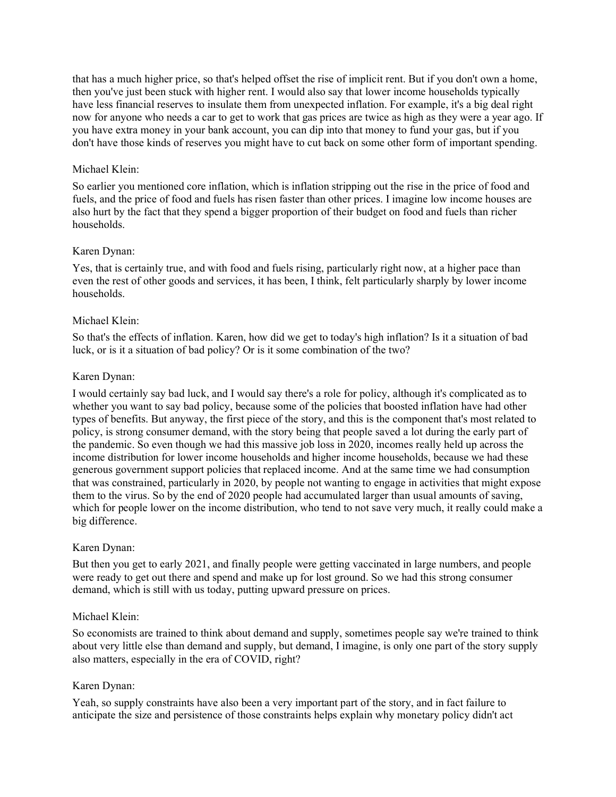that has a much higher price, so that's helped offset the rise of implicit rent. But if you don't own a home, then you've just been stuck with higher rent. I would also say that lower income households typically have less financial reserves to insulate them from unexpected inflation. For example, it's a big deal right now for anyone who needs a car to get to work that gas prices are twice as high as they were a year ago. If you have extra money in your bank account, you can dip into that money to fund your gas, but if you don't have those kinds of reserves you might have to cut back on some other form of important spending.

# Michael Klein:

So earlier you mentioned core inflation, which is inflation stripping out the rise in the price of food and fuels, and the price of food and fuels has risen faster than other prices. I imagine low income houses are also hurt by the fact that they spend a bigger proportion of their budget on food and fuels than richer households.

# Karen Dynan:

Yes, that is certainly true, and with food and fuels rising, particularly right now, at a higher pace than even the rest of other goods and services, it has been, I think, felt particularly sharply by lower income households.

# Michael Klein:

So that's the effects of inflation. Karen, how did we get to today's high inflation? Is it a situation of bad luck, or is it a situation of bad policy? Or is it some combination of the two?

# Karen Dynan:

I would certainly say bad luck, and I would say there's a role for policy, although it's complicated as to whether you want to say bad policy, because some of the policies that boosted inflation have had other types of benefits. But anyway, the first piece of the story, and this is the component that's most related to policy, is strong consumer demand, with the story being that people saved a lot during the early part of the pandemic. So even though we had this massive job loss in 2020, incomes really held up across the income distribution for lower income households and higher income households, because we had these generous government support policies that replaced income. And at the same time we had consumption that was constrained, particularly in 2020, by people not wanting to engage in activities that might expose them to the virus. So by the end of 2020 people had accumulated larger than usual amounts of saving, which for people lower on the income distribution, who tend to not save very much, it really could make a big difference.

# Karen Dynan:

But then you get to early 2021, and finally people were getting vaccinated in large numbers, and people were ready to get out there and spend and make up for lost ground. So we had this strong consumer demand, which is still with us today, putting upward pressure on prices.

# Michael Klein:

So economists are trained to think about demand and supply, sometimes people say we're trained to think about very little else than demand and supply, but demand, I imagine, is only one part of the story supply also matters, especially in the era of COVID, right?

# Karen Dynan:

Yeah, so supply constraints have also been a very important part of the story, and in fact failure to anticipate the size and persistence of those constraints helps explain why monetary policy didn't act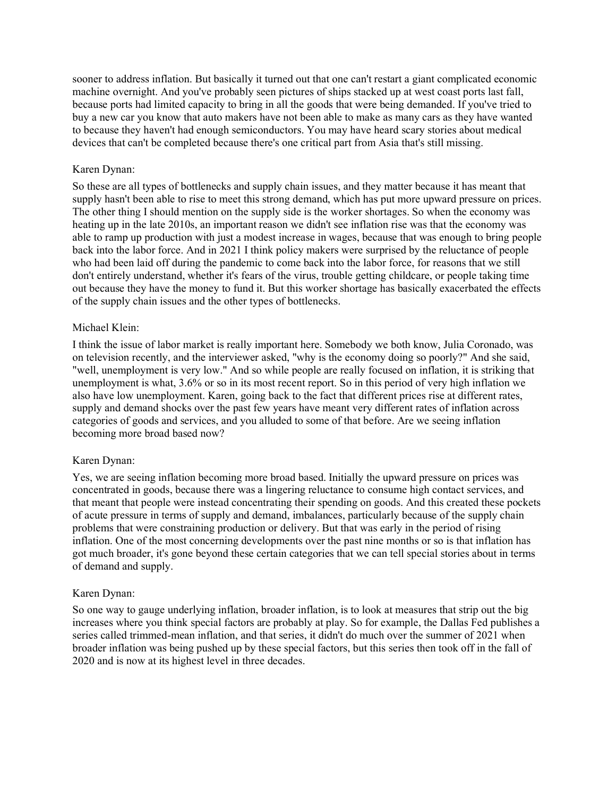sooner to address inflation. But basically it turned out that one can't restart a giant complicated economic machine overnight. And you've probably seen pictures of ships stacked up at west coast ports last fall, because ports had limited capacity to bring in all the goods that were being demanded. If you've tried to buy a new car you know that auto makers have not been able to make as many cars as they have wanted to because they haven't had enough semiconductors. You may have heard scary stories about medical devices that can't be completed because there's one critical part from Asia that's still missing.

#### Karen Dynan:

So these are all types of bottlenecks and supply chain issues, and they matter because it has meant that supply hasn't been able to rise to meet this strong demand, which has put more upward pressure on prices. The other thing I should mention on the supply side is the worker shortages. So when the economy was heating up in the late 2010s, an important reason we didn't see inflation rise was that the economy was able to ramp up production with just a modest increase in wages, because that was enough to bring people back into the labor force. And in 2021 I think policy makers were surprised by the reluctance of people who had been laid off during the pandemic to come back into the labor force, for reasons that we still don't entirely understand, whether it's fears of the virus, trouble getting childcare, or people taking time out because they have the money to fund it. But this worker shortage has basically exacerbated the effects of the supply chain issues and the other types of bottlenecks.

#### Michael Klein:

I think the issue of labor market is really important here. Somebody we both know, Julia Coronado, was on television recently, and the interviewer asked, "why is the economy doing so poorly?" And she said, "well, unemployment is very low." And so while people are really focused on inflation, it is striking that unemployment is what, 3.6% or so in its most recent report. So in this period of very high inflation we also have low unemployment. Karen, going back to the fact that different prices rise at different rates, supply and demand shocks over the past few years have meant very different rates of inflation across categories of goods and services, and you alluded to some of that before. Are we seeing inflation becoming more broad based now?

#### Karen Dynan:

Yes, we are seeing inflation becoming more broad based. Initially the upward pressure on prices was concentrated in goods, because there was a lingering reluctance to consume high contact services, and that meant that people were instead concentrating their spending on goods. And this created these pockets of acute pressure in terms of supply and demand, imbalances, particularly because of the supply chain problems that were constraining production or delivery. But that was early in the period of rising inflation. One of the most concerning developments over the past nine months or so is that inflation has got much broader, it's gone beyond these certain categories that we can tell special stories about in terms of demand and supply.

#### Karen Dynan:

So one way to gauge underlying inflation, broader inflation, is to look at measures that strip out the big increases where you think special factors are probably at play. So for example, the Dallas Fed publishes a series called trimmed-mean inflation, and that series, it didn't do much over the summer of 2021 when broader inflation was being pushed up by these special factors, but this series then took off in the fall of 2020 and is now at its highest level in three decades.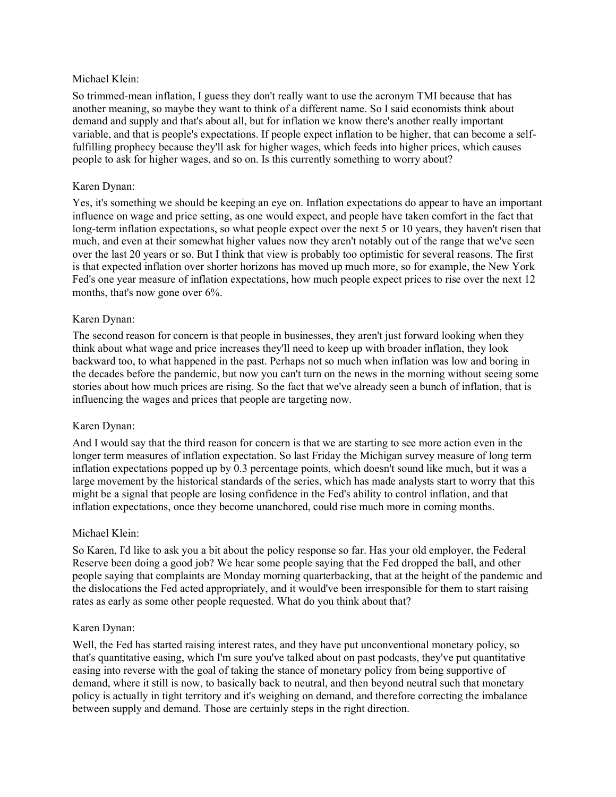#### Michael Klein:

So trimmed-mean inflation, I guess they don't really want to use the acronym TMI because that has another meaning, so maybe they want to think of a different name. So I said economists think about demand and supply and that's about all, but for inflation we know there's another really important variable, and that is people's expectations. If people expect inflation to be higher, that can become a selffulfilling prophecy because they'll ask for higher wages, which feeds into higher prices, which causes people to ask for higher wages, and so on. Is this currently something to worry about?

#### Karen Dynan:

Yes, it's something we should be keeping an eye on. Inflation expectations do appear to have an important influence on wage and price setting, as one would expect, and people have taken comfort in the fact that long-term inflation expectations, so what people expect over the next 5 or 10 years, they haven't risen that much, and even at their somewhat higher values now they aren't notably out of the range that we've seen over the last 20 years or so. But I think that view is probably too optimistic for several reasons. The first is that expected inflation over shorter horizons has moved up much more, so for example, the New York Fed's one year measure of inflation expectations, how much people expect prices to rise over the next 12 months, that's now gone over 6%.

#### Karen Dynan:

The second reason for concern is that people in businesses, they aren't just forward looking when they think about what wage and price increases they'll need to keep up with broader inflation, they look backward too, to what happened in the past. Perhaps not so much when inflation was low and boring in the decades before the pandemic, but now you can't turn on the news in the morning without seeing some stories about how much prices are rising. So the fact that we've already seen a bunch of inflation, that is influencing the wages and prices that people are targeting now.

# Karen Dynan:

And I would say that the third reason for concern is that we are starting to see more action even in the longer term measures of inflation expectation. So last Friday the Michigan survey measure of long term inflation expectations popped up by 0.3 percentage points, which doesn't sound like much, but it was a large movement by the historical standards of the series, which has made analysts start to worry that this might be a signal that people are losing confidence in the Fed's ability to control inflation, and that inflation expectations, once they become unanchored, could rise much more in coming months.

# Michael Klein:

So Karen, I'd like to ask you a bit about the policy response so far. Has your old employer, the Federal Reserve been doing a good job? We hear some people saying that the Fed dropped the ball, and other people saying that complaints are Monday morning quarterbacking, that at the height of the pandemic and the dislocations the Fed acted appropriately, and it would've been irresponsible for them to start raising rates as early as some other people requested. What do you think about that?

# Karen Dynan:

Well, the Fed has started raising interest rates, and they have put unconventional monetary policy, so that's quantitative easing, which I'm sure you've talked about on past podcasts, they've put quantitative easing into reverse with the goal of taking the stance of monetary policy from being supportive of demand, where it still is now, to basically back to neutral, and then beyond neutral such that monetary policy is actually in tight territory and it's weighing on demand, and therefore correcting the imbalance between supply and demand. Those are certainly steps in the right direction.